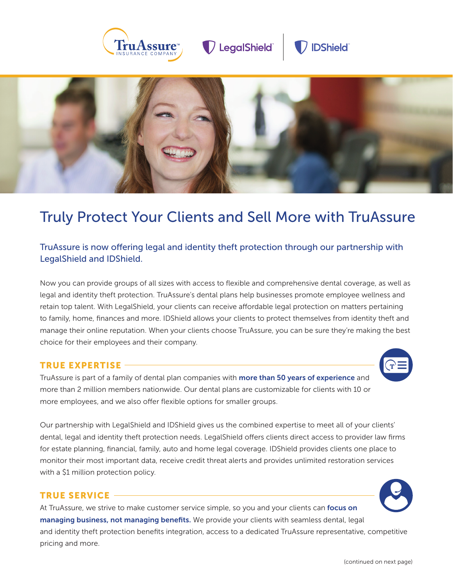

D LegalShield





# Truly Protect Your Clients and Sell More with TruAssure

## TruAssure is now offering legal and identity theft protection through our partnership with LegalShield and IDShield.

Now you can provide groups of all sizes with access to flexible and comprehensive dental coverage, as well as legal and identity theft protection. TruAssure's dental plans help businesses promote employee wellness and retain top talent. With LegalShield, your clients can receive affordable legal protection on matters pertaining to family, home, finances and more. IDShield allows your clients to protect themselves from identity theft and manage their online reputation. When your clients choose TruAssure, you can be sure they're making the best choice for their employees and their company.

#### TRUE EXPERTISE

TruAssure is part of a family of dental plan companies with more than 50 years of experience and more than 2 million members nationwide. Our dental plans are customizable for clients with 10 or more employees, and we also offer flexible options for smaller groups.

Our partnership with LegalShield and IDShield gives us the combined expertise to meet all of your clients' dental, legal and identity theft protection needs. LegalShield offers clients direct access to provider law firms for estate planning, financial, family, auto and home legal coverage. IDShield provides clients one place to monitor their most important data, receive credit threat alerts and provides unlimited restoration services with a \$1 million protection policy.

#### TRUE SERVICE

At TruAssure, we strive to make customer service simple, so you and your clients can focus on managing business, not managing benefits. We provide your clients with seamless dental, legal and identity theft protection benefits integration, access to a dedicated TruAssure representative, competitive pricing and more.